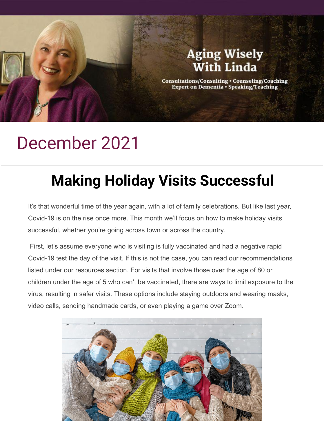### **Aging Wisely** With Linda

Consultations/Consulting • Counseling/Coaching<br>Expert on Dementia • Speaking/Teaching

## December 2021

# **Making Holiday Visits Successful**

It's that wonderful time of the year again, with a lot of family celebrations. But like last year, Covid-19 is on the rise once more. This month we'll focus on how to make holiday visits successful, whether you're going across town or across the country.

 First, let's assume everyone who is visiting is fully vaccinated and had a negative rapid Covid-19 test the day of the visit. If this is not the case, you can read our recommendations listed under our resources section. For visits that involve those over the age of 80 or children under the age of 5 who can't be vaccinated, there are ways to limit exposure to the virus, resulting in safer visits. These options include staying outdoors and wearing masks, video calls, sending handmade cards, or even playing a game over Zoom.

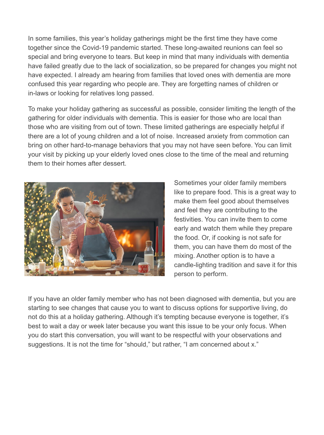In some families, this year's holiday gatherings might be the first time they have come together since the Covid-19 pandemic started. These long-awaited reunions can feel so special and bring everyone to tears. But keep in mind that many individuals with dementia have failed greatly due to the lack of socialization, so be prepared for changes you might not have expected. I already am hearing from families that loved ones with dementia are more confused this year regarding who people are. They are forgetting names of children or in-laws or looking for relatives long passed.

To make your holiday gathering as successful as possible, consider limiting the length of the gathering for older individuals with dementia. This is easier for those who are local than those who are visiting from out of town. These limited gatherings are especially helpful if there are a lot of young children and a lot of noise. Increased anxiety from commotion can bring on other hard-to-manage behaviors that you may not have seen before. You can limit your visit by picking up your elderly loved ones close to the time of the meal and returning them to their homes after dessert.



Sometimes your older family members like to prepare food. This is a great way to make them feel good about themselves and feel they are contributing to the festivities. You can invite them to come early and watch them while they prepare the food. Or, if cooking is not safe for them, you can have them do most of the mixing. Another option is to have a candle-lighting tradition and save it for this person to perform.

If you have an older family member who has not been diagnosed with dementia, but you are starting to see changes that cause you to want to discuss options for supportive living, do not do this at a holiday gathering. Although it's tempting because everyone is together, it's best to wait a day or week later because you want this issue to be your only focus. When you do start this conversation, you will want to be respectful with your observations and suggestions. It is not the time for "should," but rather, "I am concerned about x."